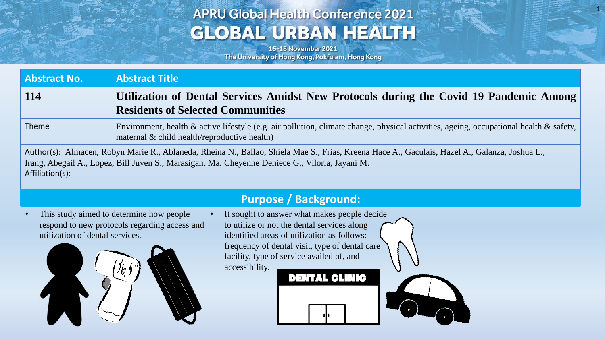## **APRU Global Health Conference 2021 GLOBAL URBAN HEALTH**

1

16-18 November 2021 The University of Hong Kong, Pokfulam, Hong Kong

| <b>Abstract No.</b> | <b>Abstract Title</b>                                                                                                                                                                                                                             |
|---------------------|---------------------------------------------------------------------------------------------------------------------------------------------------------------------------------------------------------------------------------------------------|
| <b>114</b>          | Utilization of Dental Services Amidst New Protocols during the Covid 19 Pandemic Among<br><b>Residents of Selected Communities</b>                                                                                                                |
| Theme               | Environment, health & active lifestyle (e.g. air pollution, climate change, physical activities, ageing, occupational health & safety,<br>maternal $\&$ child health/reproductive health)                                                         |
| Affiliation(s):     | Author(s): Almacen, Robyn Marie R., Ablaneda, Rheina N., Ballao, Shiela Mae S., Frias, Kreena Hace A., Gaculais, Hazel A., Galanza, Joshua L.,<br>Irang, Abegail A., Lopez, Bill Juven S., Marasigan, Ma. Cheyenne Deniece G., Viloria, Jayani M. |

### **Purpose / Background:**

This study aimed to determine how people It sought to answer what makes people decide to utilize or not the dental services along respond to new protocols regarding access and utilization of dental services. identified areas of utilization as follows: frequency of dental visit, type of dental care facility, type of service availed of, and accessibility. **DENTAL CLINIC**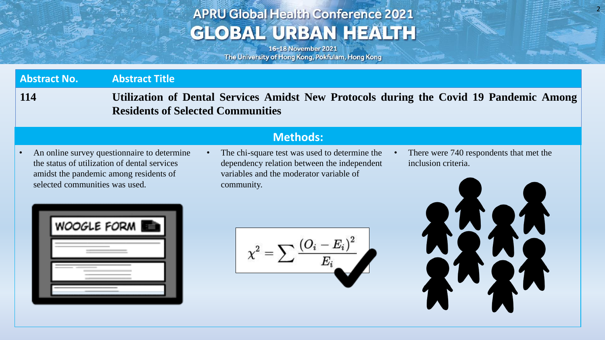## **APRU Global Health Conference 2021 GLOBAL URBAN HEALTH**

16-18 November 2021 The University of Hong Kong, Pokfulam, Hong Kong

**Abstract No. Abstract Title**

**114 Utilization of Dental Services Amidst New Protocols during the Covid 19 Pandemic Among Residents of Selected Communities**

• An online survey questionnaire to determine the status of utilization of dental services amidst the pandemic among residents of selected communities was used.

### **Methods:**

- The chi-square test was used to determine the dependency relation between the independent variables and the moderator variable of community.
- There were 740 respondents that met the inclusion criteria.

2

| <b>WOOGLE FORM</b> |  |
|--------------------|--|
|                    |  |
|                    |  |
|                    |  |